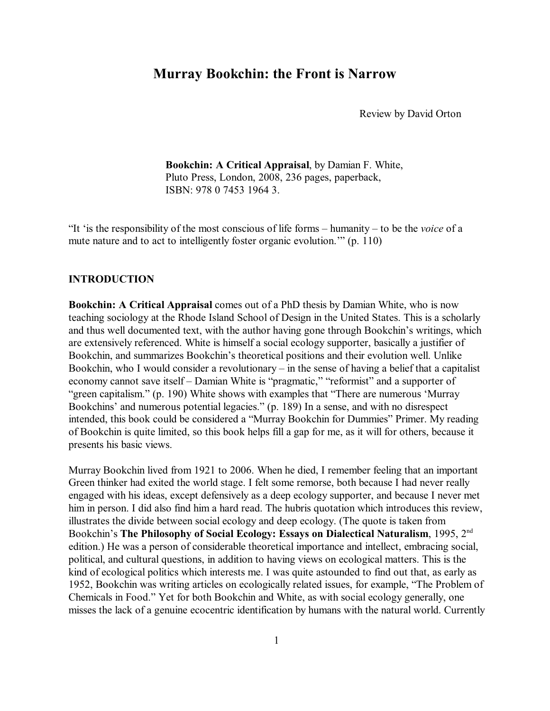# **Murray Bookchin: the Front is Narrow**

Review by David Orton

**Bookchin: A Critical Appraisal**, by Damian F. White, Pluto Press, London, 2008, 236 pages, paperback, ISBN: 978 0 7453 1964 3.

"It 'is the responsibility of the most conscious of life forms – humanity – to be the *voice* of a mute nature and to act to intelligently foster organic evolution.'" (p. 110)

#### **INTRODUCTION**

**Bookchin: A Critical Appraisal** comes out of a PhD thesis by Damian White, who is now teaching sociology at the Rhode Island School of Design in the United States. This is a scholarly and thus well documented text, with the author having gone through Bookchin's writings, which are extensively referenced. White is himself a social ecology supporter, basically a justifier of Bookchin, and summarizes Bookchin's theoretical positions and their evolution well. Unlike Bookchin, who I would consider a revolutionary – in the sense of having a belief that a capitalist economy cannot save itself – Damian White is "pragmatic," "reformist" and a supporter of "green capitalism." (p. 190) White shows with examples that "There are numerous 'Murray Bookchins' and numerous potential legacies." (p. 189) In a sense, and with no disrespect intended, this book could be considered a "Murray Bookchin for Dummies" Primer. My reading of Bookchin is quite limited, so this book helps fill a gap for me, as it will for others, because it presents his basic views.

Murray Bookchin lived from 1921 to 2006. When he died, I remember feeling that an important Green thinker had exited the world stage. I felt some remorse, both because I had never really engaged with his ideas, except defensively as a deep ecology supporter, and because I never met him in person. I did also find him a hard read. The hubris quotation which introduces this review, illustrates the divide between social ecology and deep ecology. (The quote is taken from Bookchin's **The Philosophy of Social Ecology: Essays on Dialectical Naturalism**, 1995, 2nd edition.) He was a person of considerable theoretical importance and intellect, embracing social, political, and cultural questions, in addition to having views on ecological matters. This is the kind of ecological politics which interests me. I was quite astounded to find out that, as early as 1952, Bookchin was writing articles on ecologically related issues, for example, "The Problem of Chemicals in Food." Yet for both Bookchin and White, as with social ecology generally, one misses the lack of a genuine ecocentric identification by humans with the natural world. Currently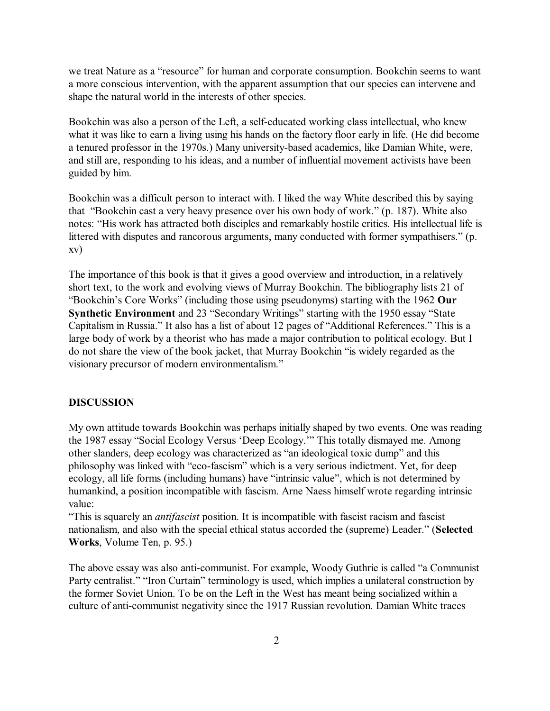we treat Nature as a "resource" for human and corporate consumption. Bookchin seems to want a more conscious intervention, with the apparent assumption that our species can intervene and shape the natural world in the interests of other species.

Bookchin was also a person of the Left, a self-educated working class intellectual, who knew what it was like to earn a living using his hands on the factory floor early in life. (He did become a tenured professor in the 1970s.) Many university-based academics, like Damian White, were, and still are, responding to his ideas, and a number of influential movement activists have been guided by him.

Bookchin was a difficult person to interact with. I liked the way White described this by saying that "Bookchin cast a very heavy presence over his own body of work." (p. 187). White also notes: "His work has attracted both disciples and remarkably hostile critics. His intellectual life is littered with disputes and rancorous arguments, many conducted with former sympathisers." (p. xv)

The importance of this book is that it gives a good overview and introduction, in a relatively short text, to the work and evolving views of Murray Bookchin. The bibliography lists 21 of "Bookchin's Core Works" (including those using pseudonyms) starting with the 1962 **Our Synthetic Environment** and 23 "Secondary Writings" starting with the 1950 essay "State Capitalism in Russia." It also has a list of about 12 pages of "Additional References." This is a large body of work by a theorist who has made a major contribution to political ecology. But I do not share the view of the book jacket, that Murray Bookchin "is widely regarded as the visionary precursor of modern environmentalism."

#### **DISCUSSION**

My own attitude towards Bookchin was perhaps initially shaped by two events. One was reading the 1987 essay "Social Ecology Versus 'Deep Ecology.'" This totally dismayed me. Among other slanders, deep ecology was characterized as "an ideological toxic dump" and this philosophy was linked with "eco-fascism" which is a very serious indictment. Yet, for deep ecology, all life forms (including humans) have "intrinsic value", which is not determined by humankind, a position incompatible with fascism. Arne Naess himself wrote regarding intrinsic value:

"This is squarely an *antifascist* position. It is incompatible with fascist racism and fascist nationalism, and also with the special ethical status accorded the (supreme) Leader." (**Selected Works**, Volume Ten, p. 95.)

The above essay was also anti-communist. For example, Woody Guthrie is called "a Communist Party centralist." "Iron Curtain" terminology is used, which implies a unilateral construction by the former Soviet Union. To be on the Left in the West has meant being socialized within a culture of anti-communist negativity since the 1917 Russian revolution. Damian White traces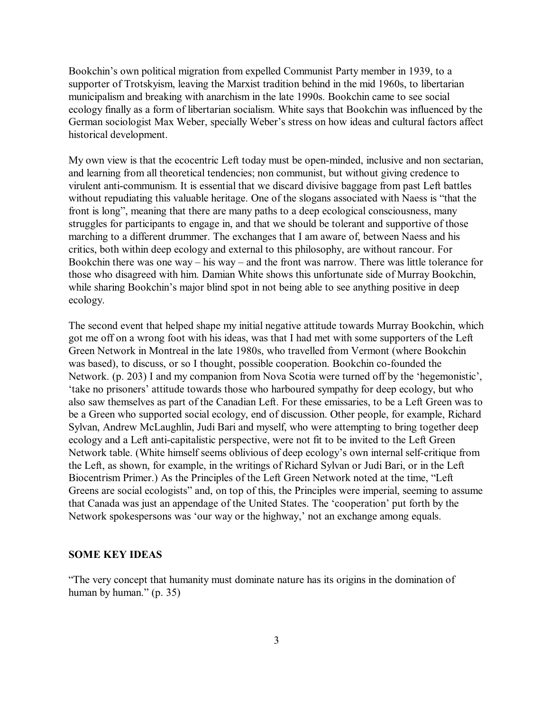Bookchin's own political migration from expelled Communist Party member in 1939, to a supporter of Trotskyism, leaving the Marxist tradition behind in the mid 1960s, to libertarian municipalism and breaking with anarchism in the late 1990s. Bookchin came to see social ecology finally as a form of libertarian socialism. White says that Bookchin was influenced by the German sociologist Max Weber, specially Weber's stress on how ideas and cultural factors affect historical development.

My own view is that the ecocentric Left today must be open-minded, inclusive and non sectarian, and learning from all theoretical tendencies; non communist, but without giving credence to virulent anti-communism. It is essential that we discard divisive baggage from past Left battles without repudiating this valuable heritage. One of the slogans associated with Naess is "that the front is long", meaning that there are many paths to a deep ecological consciousness, many struggles for participants to engage in, and that we should be tolerant and supportive of those marching to a different drummer. The exchanges that I am aware of, between Naess and his critics, both within deep ecology and external to this philosophy, are without rancour. For Bookchin there was one way – his way – and the front was narrow. There was little tolerance for those who disagreed with him. Damian White shows this unfortunate side of Murray Bookchin, while sharing Bookchin's major blind spot in not being able to see anything positive in deep ecology.

The second event that helped shape my initial negative attitude towards Murray Bookchin, which got me off on a wrong foot with his ideas, was that I had met with some supporters of the Left Green Network in Montreal in the late 1980s, who travelled from Vermont (where Bookchin was based), to discuss, or so I thought, possible cooperation. Bookchin co-founded the Network. (p. 203) I and my companion from Nova Scotia were turned off by the 'hegemonistic', 'take no prisoners' attitude towards those who harboured sympathy for deep ecology, but who also saw themselves as part of the Canadian Left. For these emissaries, to be a Left Green was to be a Green who supported social ecology, end of discussion. Other people, for example, Richard Sylvan, Andrew McLaughlin, Judi Bari and myself, who were attempting to bring together deep ecology and a Left anti-capitalistic perspective, were not fit to be invited to the Left Green Network table. (White himself seems oblivious of deep ecology's own internal self-critique from the Left, as shown, for example, in the writings of Richard Sylvan or Judi Bari, or in the Left Biocentrism Primer.) As the Principles of the Left Green Network noted at the time, "Left Greens are social ecologists" and, on top of this, the Principles were imperial, seeming to assume that Canada was just an appendage of the United States. The 'cooperation' put forth by the Network spokespersons was 'our way or the highway,' not an exchange among equals.

#### **SOME KEY IDEAS**

"The very concept that humanity must dominate nature has its origins in the domination of human by human." (p. 35)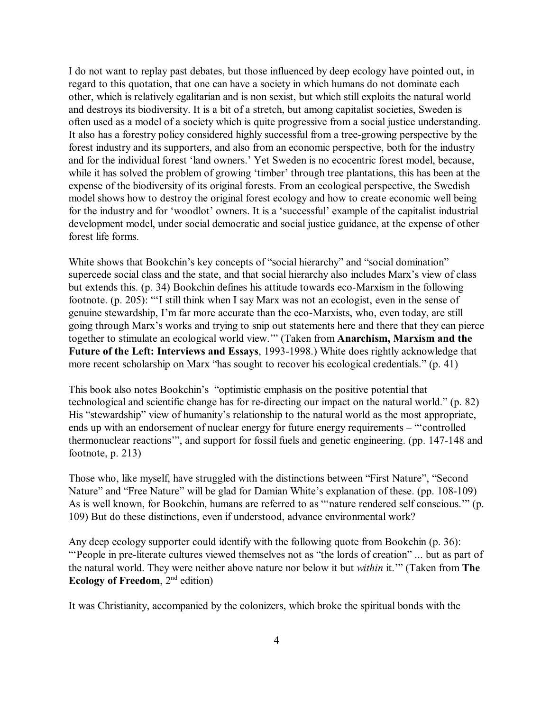I do not want to replay past debates, but those influenced by deep ecology have pointed out, in regard to this quotation, that one can have a society in which humans do not dominate each other, which is relatively egalitarian and is non sexist, but which still exploits the natural world and destroys its biodiversity. It is a bit of a stretch, but among capitalist societies, Sweden is often used as a model of a society which is quite progressive from a social justice understanding. It also has a forestry policy considered highly successful from a tree-growing perspective by the forest industry and its supporters, and also from an economic perspective, both for the industry and for the individual forest 'land owners.' Yet Sweden is no ecocentric forest model, because, while it has solved the problem of growing 'timber' through tree plantations, this has been at the expense of the biodiversity of its original forests. From an ecological perspective, the Swedish model shows how to destroy the original forest ecology and how to create economic well being for the industry and for 'woodlot' owners. It is a 'successful' example of the capitalist industrial development model, under social democratic and social justice guidance, at the expense of other forest life forms.

White shows that Bookchin's key concepts of "social hierarchy" and "social domination" supercede social class and the state, and that social hierarchy also includes Marx's view of class but extends this. (p. 34) Bookchin defines his attitude towards eco-Marxism in the following footnote. (p. 205): "'I still think when I say Marx was not an ecologist, even in the sense of genuine stewardship, I'm far more accurate than the eco-Marxists, who, even today, are still going through Marx's works and trying to snip out statements here and there that they can pierce together to stimulate an ecological world view.'" (Taken from **Anarchism, Marxism and the Future of the Left: Interviews and Essays**, 1993-1998.) White does rightly acknowledge that more recent scholarship on Marx "has sought to recover his ecological credentials." (p. 41)

This book also notes Bookchin's "optimistic emphasis on the positive potential that technological and scientific change has for re-directing our impact on the natural world." (p. 82) His "stewardship" view of humanity's relationship to the natural world as the most appropriate, ends up with an endorsement of nuclear energy for future energy requirements – "'controlled thermonuclear reactions'", and support for fossil fuels and genetic engineering. (pp. 147-148 and footnote, p. 213)

Those who, like myself, have struggled with the distinctions between "First Nature", "Second Nature" and "Free Nature" will be glad for Damian White's explanation of these. (pp. 108-109) As is well known, for Bookchin, humans are referred to as "'nature rendered self conscious.'" (p. 109) But do these distinctions, even if understood, advance environmental work?

Any deep ecology supporter could identify with the following quote from Bookchin (p. 36): "'People in pre-literate cultures viewed themselves not as "the lords of creation" ... but as part of the natural world. They were neither above nature nor below it but *within* it.'" (Taken from **The Ecology of Freedom**, 2<sup>nd</sup> edition)

It was Christianity, accompanied by the colonizers, which broke the spiritual bonds with the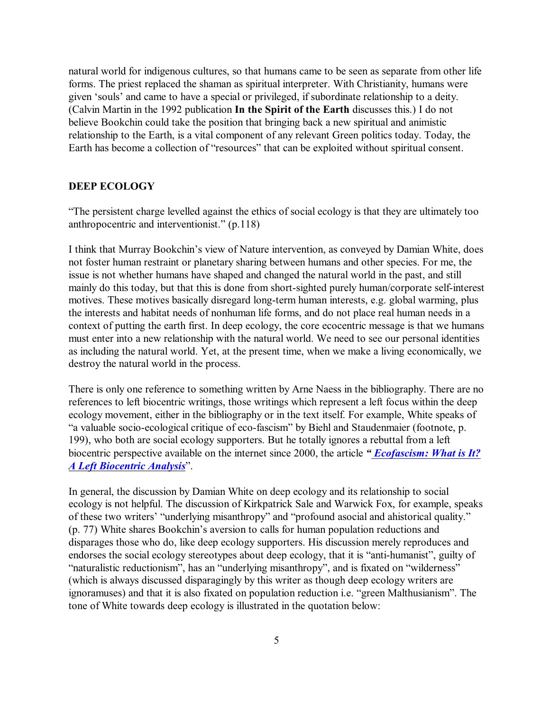natural world for indigenous cultures, so that humans came to be seen as separate from other life forms. The priest replaced the shaman as spiritual interpreter. With Christianity, humans were given 'souls' and came to have a special or privileged, if subordinate relationship to a deity. (Calvin Martin in the 1992 publication **In the Spirit of the Earth** discusses this.) I do not believe Bookchin could take the position that bringing back a new spiritual and animistic relationship to the Earth, is a vital component of any relevant Green politics today. Today, the Earth has become a collection of "resources" that can be exploited without spiritual consent.

#### **DEEP ECOLOGY**

"The persistent charge levelled against the ethics of social ecology is that they are ultimately too anthropocentric and interventionist." (p.118)

I think that Murray Bookchin's view of Nature intervention, as conveyed by Damian White, does not foster human restraint or planetary sharing between humans and other species. For me, the issue is not whether humans have shaped and changed the natural world in the past, and still mainly do this today, but that this is done from short-sighted purely human/corporate self-interest motives. These motives basically disregard long-term human interests, e.g. global warming, plus the interests and habitat needs of nonhuman life forms, and do not place real human needs in a context of putting the earth first. In deep ecology, the core ecocentric message is that we humans must enter into a new relationship with the natural world. We need to see our personal identities as including the natural world. Yet, at the present time, when we make a living economically, we destroy the natural world in the process.

There is only one reference to something written by Arne Naess in the bibliography. There are no references to left biocentric writings, those writings which represent a left focus within the deep ecology movement, either in the bibliography or in the text itself. For example, White speaks of "a valuable socio-ecological critique of eco-fascism" by Biehl and Staudenmaier (footnote, p. 199), who both are social ecology supporters. But he totally ignores a rebuttal from a left biocentric perspective available on the internet since 2000, the article *[" Ecofascism: What is It?](http://home.ca.inter.net/~greenweb/Ecofascism.html) [A Left Biocentric Analysis](http://home.ca.inter.net/~greenweb/Ecofascism.html)*".

In general, the discussion by Damian White on deep ecology and its relationship to social ecology is not helpful. The discussion of Kirkpatrick Sale and Warwick Fox, for example, speaks of these two writers' "underlying misanthropy" and "profound asocial and ahistorical quality." (p. 77) White shares Bookchin's aversion to calls for human population reductions and disparages those who do, like deep ecology supporters. His discussion merely reproduces and endorses the social ecology stereotypes about deep ecology, that it is "anti-humanist", guilty of "naturalistic reductionism", has an "underlying misanthropy", and is fixated on "wilderness" (which is always discussed disparagingly by this writer as though deep ecology writers are ignoramuses) and that it is also fixated on population reduction i.e. "green Malthusianism". The tone of White towards deep ecology is illustrated in the quotation below: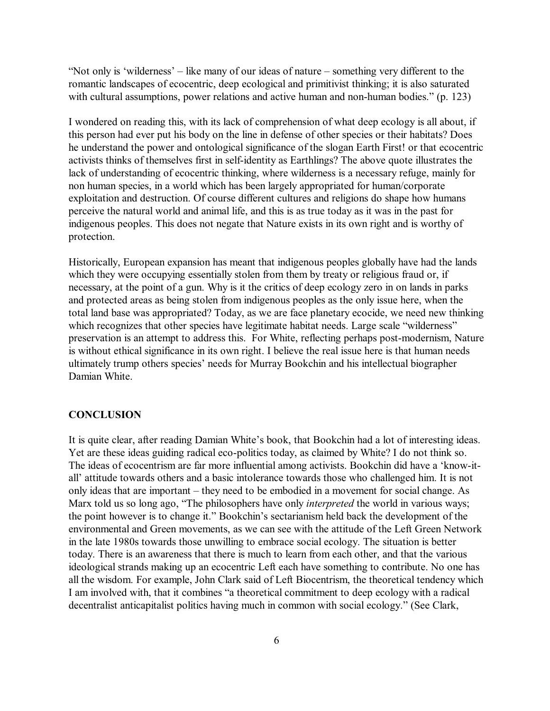"Not only is 'wilderness' – like many of our ideas of nature – something very different to the romantic landscapes of ecocentric, deep ecological and primitivist thinking; it is also saturated with cultural assumptions, power relations and active human and non-human bodies." (p. 123)

I wondered on reading this, with its lack of comprehension of what deep ecology is all about, if this person had ever put his body on the line in defense of other species or their habitats? Does he understand the power and ontological significance of the slogan Earth First! or that ecocentric activists thinks of themselves first in self-identity as Earthlings? The above quote illustrates the lack of understanding of ecocentric thinking, where wilderness is a necessary refuge, mainly for non human species, in a world which has been largely appropriated for human/corporate exploitation and destruction. Of course different cultures and religions do shape how humans perceive the natural world and animal life, and this is as true today as it was in the past for indigenous peoples. This does not negate that Nature exists in its own right and is worthy of protection.

Historically, European expansion has meant that indigenous peoples globally have had the lands which they were occupying essentially stolen from them by treaty or religious fraud or, if necessary, at the point of a gun. Why is it the critics of deep ecology zero in on lands in parks and protected areas as being stolen from indigenous peoples as the only issue here, when the total land base was appropriated? Today, as we are face planetary ecocide, we need new thinking which recognizes that other species have legitimate habitat needs. Large scale "wilderness" preservation is an attempt to address this. For White, reflecting perhaps post-modernism, Nature is without ethical significance in its own right. I believe the real issue here is that human needs ultimately trump others species' needs for Murray Bookchin and his intellectual biographer Damian White.

### **CONCLUSION**

It is quite clear, after reading Damian White's book, that Bookchin had a lot of interesting ideas. Yet are these ideas guiding radical eco-politics today, as claimed by White? I do not think so. The ideas of ecocentrism are far more influential among activists. Bookchin did have a 'know-itall' attitude towards others and a basic intolerance towards those who challenged him. It is not only ideas that are important – they need to be embodied in a movement for social change. As Marx told us so long ago, "The philosophers have only *interpreted* the world in various ways; the point however is to change it." Bookchin's sectarianism held back the development of the environmental and Green movements, as we can see with the attitude of the Left Green Network in the late 1980s towards those unwilling to embrace social ecology. The situation is better today. There is an awareness that there is much to learn from each other, and that the various ideological strands making up an ecocentric Left each have something to contribute. No one has all the wisdom. For example, John Clark said of Left Biocentrism, the theoretical tendency which I am involved with, that it combines "a theoretical commitment to deep ecology with a radical decentralist anticapitalist politics having much in common with social ecology." (See Clark,